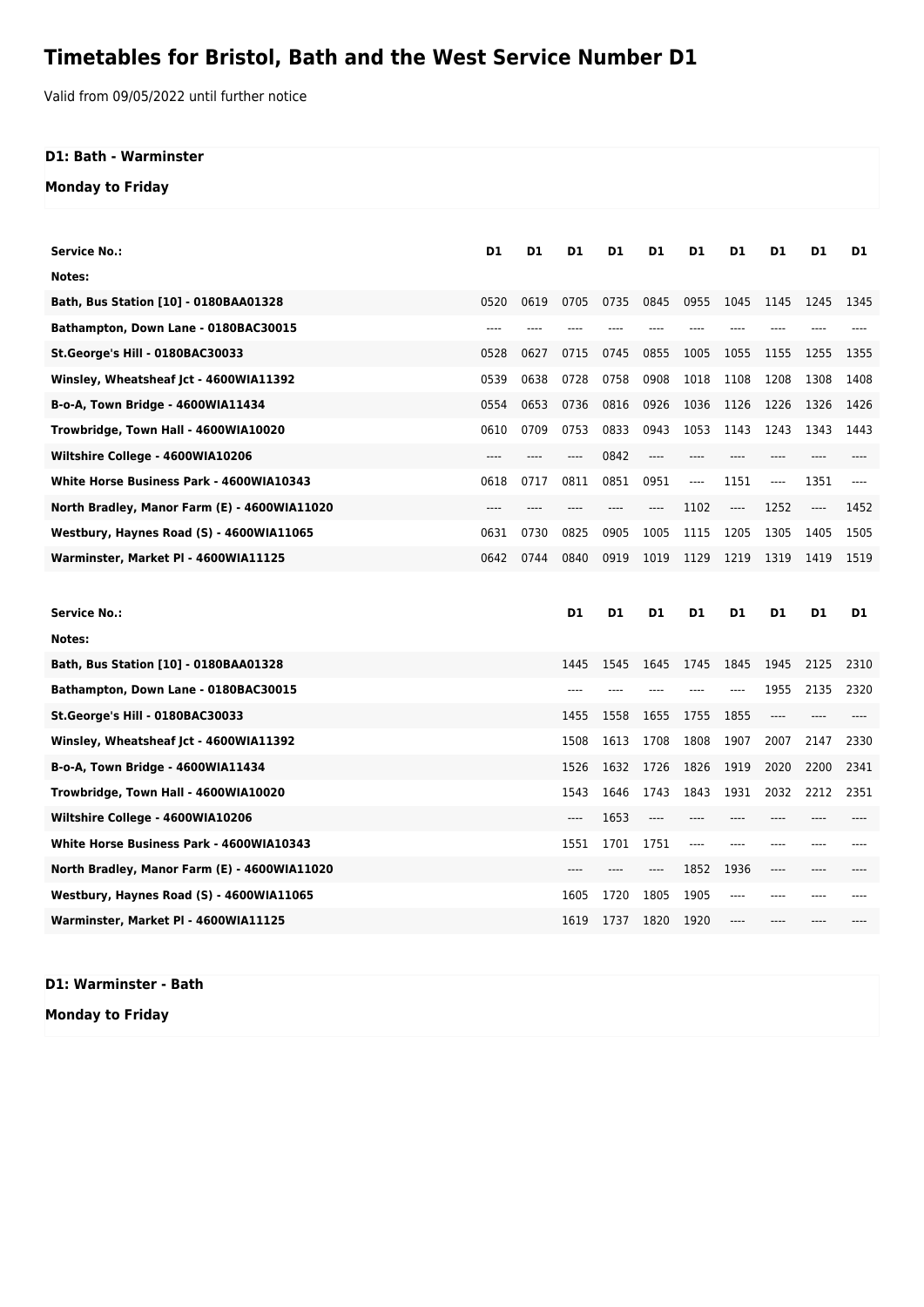## **Timetables for Bristol, Bath and the West Service Number D1**

Valid from 09/05/2022 until further notice

## **D1: Bath - Warminster**

**Monday to Friday**

| <b>Service No.:</b>                             | D1    | D1    | D <sub>1</sub> | D1    | D1    | D1       | D1                            | D1   | D1                                    | D1    |
|-------------------------------------------------|-------|-------|----------------|-------|-------|----------|-------------------------------|------|---------------------------------------|-------|
| Notes:                                          |       |       |                |       |       |          |                               |      |                                       |       |
| Bath, Bus Station [10] - 0180BAA01328           | 0520  | 0619  | 0705           | 0735  | 0845  | 0955     | 1045                          | 1145 | 1245                                  | 1345  |
| Bathampton, Down Lane - 0180BAC30015            | ----  |       |                |       |       |          |                               |      |                                       |       |
| St.George's Hill - 0180BAC30033                 | 0528  | 0627  | 0715           | 0745  | 0855  | 1005     | 1055                          | 1155 | 1255                                  | 1355  |
| Winsley, Wheatsheaf Jct - 4600WIA11392          | 0539  | 0638  | 0728           | 0758  | 0908  | 1018     | 1108                          | 1208 | 1308                                  | 1408  |
| B-o-A, Town Bridge - 4600WIA11434               | 0554  | 0653  | 0736           | 0816  | 0926  | 1036     | 1126                          | 1226 | 1326                                  | 1426  |
| Trowbridge, Town Hall - 4600WIA10020            | 0610  | 0709  | 0753           | 0833  | 0943  | 1053     | 1143                          | 1243 | 1343                                  | 1443  |
| Wiltshire College - 4600WIA10206                | ----  | ----  | ----           | 0842  | ----  | $---$    | ----                          | ---- |                                       |       |
| <b>White Horse Business Park - 4600WIA10343</b> | 0618  | 0717  | 0811           | 0851  | 0951  | $\cdots$ | 1151                          | ---- | 1351                                  | $---$ |
| North Bradley, Manor Farm (E) - 4600WIA11020    | $---$ | $---$ | $---$          | ----  | ----  | 1102     | $\hspace{1.5cm} \textbf{---}$ | 1252 | $\hspace{1.5cm} \dots \hspace{1.5cm}$ | 1452  |
| Westbury, Haynes Road (S) - 4600WIA11065        | 0631  | 0730  | 0825           | 0905  | 1005  | 1115     | 1205                          | 1305 | 1405                                  | 1505  |
| Warminster, Market Pl - 4600WIA11125            | 0642  | 0744  | 0840           | 0919  | 1019  | 1129     | 1219                          | 1319 | 1419                                  | 1519  |
|                                                 |       |       |                |       |       |          |                               |      |                                       |       |
|                                                 |       |       |                |       |       |          |                               |      |                                       |       |
| Service No.:                                    |       |       | D <sub>1</sub> | D1    | D1    | D1       | D1                            | D1   | D1                                    | D1    |
| Notes:                                          |       |       |                |       |       |          |                               |      |                                       |       |
| Bath, Bus Station [10] - 0180BAA01328           |       |       | 1445           | 1545  | 1645  | 1745     | 1845                          | 1945 | 2125                                  | 2310  |
| Bathampton, Down Lane - 0180BAC30015            |       |       | $---$          | $---$ | $---$ | $---$    | $---$                         | 1955 | 2135                                  | 2320  |
| St.George's Hill - 0180BAC30033                 |       |       | 1455           | 1558  | 1655  | 1755     | 1855                          | ---- | $---$                                 |       |
| Winsley, Wheatsheaf Jct - 4600WIA11392          |       |       | 1508           | 1613  | 1708  | 1808     | 1907                          | 2007 | 2147                                  | 2330  |
| B-o-A, Town Bridge - 4600WIA11434               |       |       | 1526           | 1632  | 1726  | 1826     | 1919                          | 2020 | 2200                                  | 2341  |
| Trowbridge, Town Hall - 4600WIA10020            |       |       | 1543           | 1646  | 1743  | 1843     | 1931                          | 2032 | 2212                                  | 2351  |
| Wiltshire College - 4600WIA10206                |       |       | $---$          | 1653  | ----  | $---$    | $---$                         | ---- |                                       |       |
| White Horse Business Park - 4600WIA10343        |       |       | 1551           | 1701  | 1751  | $---$    | $---$                         | ---- |                                       |       |
| North Bradley, Manor Farm (E) - 4600WIA11020    |       |       | ----           |       | ----  | 1852     | 1936                          | ---- |                                       |       |
| Westbury, Haynes Road (S) - 4600WIA11065        |       |       | 1605           | 1720  | 1805  | 1905     | ----                          | ---- | ----                                  |       |
| Warminster, Market Pl - 4600WIA11125            |       |       | 1619           | 1737  | 1820  | 1920     | ----                          | ---- |                                       |       |

**D1: Warminster - Bath Monday to Friday**